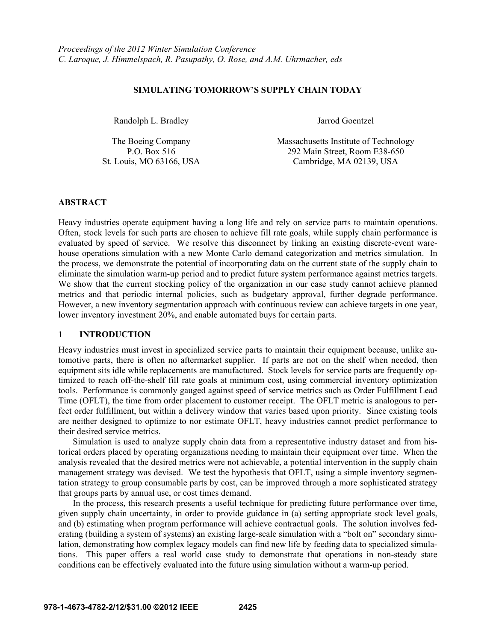## **SIMULATING TOMORROW'S SUPPLY CHAIN TODAY**

Randolph L. Bradley Jarrod Goentzel

The Boeing Company Massachusetts Institute of Technology P.O. Box 516 292 Main Street, Room E38-650 St. Louis, MO 63166, USA Cambridge, MA 02139, USA

### **ABSTRACT**

Heavy industries operate equipment having a long life and rely on service parts to maintain operations. Often, stock levels for such parts are chosen to achieve fill rate goals, while supply chain performance is evaluated by speed of service. We resolve this disconnect by linking an existing discrete-event warehouse operations simulation with a new Monte Carlo demand categorization and metrics simulation. In the process, we demonstrate the potential of incorporating data on the current state of the supply chain to eliminate the simulation warm-up period and to predict future system performance against metrics targets. We show that the current stocking policy of the organization in our case study cannot achieve planned metrics and that periodic internal policies, such as budgetary approval, further degrade performance. However, a new inventory segmentation approach with continuous review can achieve targets in one year, lower inventory investment 20%, and enable automated buys for certain parts.

### **1 INTRODUCTION**

Heavy industries must invest in specialized service parts to maintain their equipment because, unlike automotive parts, there is often no aftermarket supplier. If parts are not on the shelf when needed, then equipment sits idle while replacements are manufactured. Stock levels for service parts are frequently optimized to reach off-the-shelf fill rate goals at minimum cost, using commercial inventory optimization tools. Performance is commonly gauged against speed of service metrics such as Order Fulfillment Lead Time (OFLT), the time from order placement to customer receipt. The OFLT metric is analogous to perfect order fulfillment, but within a delivery window that varies based upon priority. Since existing tools are neither designed to optimize to nor estimate OFLT, heavy industries cannot predict performance to their desired service metrics.

 Simulation is used to analyze supply chain data from a representative industry dataset and from historical orders placed by operating organizations needing to maintain their equipment over time. When the analysis revealed that the desired metrics were not achievable, a potential intervention in the supply chain management strategy was devised. We test the hypothesis that OFLT, using a simple inventory segmentation strategy to group consumable parts by cost, can be improved through a more sophisticated strategy that groups parts by annual use, or cost times demand.

 In the process, this research presents a useful technique for predicting future performance over time, given supply chain uncertainty, in order to provide guidance in (a) setting appropriate stock level goals, and (b) estimating when program performance will achieve contractual goals. The solution involves federating (building a system of systems) an existing large-scale simulation with a "bolt on" secondary simulation, demonstrating how complex legacy models can find new life by feeding data to specialized simulations. This paper offers a real world case study to demonstrate that operations in non-steady state conditions can be effectively evaluated into the future using simulation without a warm-up period.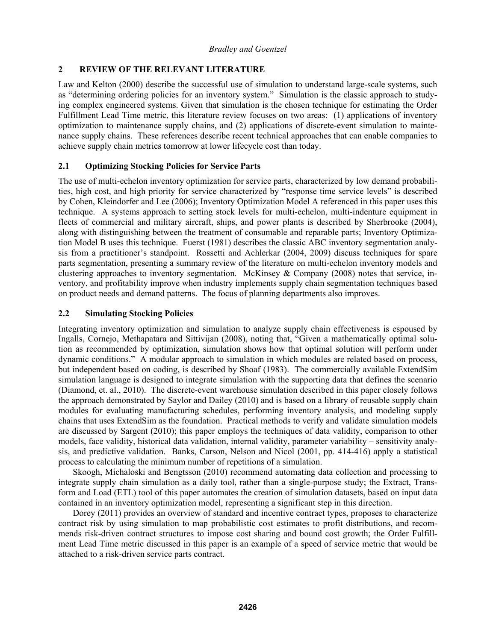# **2 REVIEW OF THE RELEVANT LITERATURE**

Law and Kelton (2000) describe the successful use of simulation to understand large-scale systems, such as "determining ordering policies for an inventory system." Simulation is the classic approach to studying complex engineered systems. Given that simulation is the chosen technique for estimating the Order Fulfillment Lead Time metric, this literature review focuses on two areas: (1) applications of inventory optimization to maintenance supply chains, and (2) applications of discrete-event simulation to maintenance supply chains. These references describe recent technical approaches that can enable companies to achieve supply chain metrics tomorrow at lower lifecycle cost than today.

# **2.1 Optimizing Stocking Policies for Service Parts**

The use of multi-echelon inventory optimization for service parts, characterized by low demand probabilities, high cost, and high priority for service characterized by "response time service levels" is described by Cohen, Kleindorfer and Lee (2006); Inventory Optimization Model A referenced in this paper uses this technique. A systems approach to setting stock levels for multi-echelon, multi-indenture equipment in fleets of commercial and military aircraft, ships, and power plants is described by Sherbrooke (2004), along with distinguishing between the treatment of consumable and reparable parts; Inventory Optimization Model B uses this technique. Fuerst (1981) describes the classic ABC inventory segmentation analysis from a practitioner's standpoint. Rossetti and Achlerkar (2004, 2009) discuss techniques for spare parts segmentation, presenting a summary review of the literature on multi-echelon inventory models and clustering approaches to inventory segmentation. McKinsey & Company (2008) notes that service, inventory, and profitability improve when industry implements supply chain segmentation techniques based on product needs and demand patterns. The focus of planning departments also improves.

# **2.2 Simulating Stocking Policies**

Integrating inventory optimization and simulation to analyze supply chain effectiveness is espoused by Ingalls, Cornejo, Methapatara and Sittivijan (2008), noting that, "Given a mathematically optimal solution as recommended by optimization, simulation shows how that optimal solution will perform under dynamic conditions." A modular approach to simulation in which modules are related based on process, but independent based on coding, is described by Shoaf (1983). The commercially available ExtendSim simulation language is designed to integrate simulation with the supporting data that defines the scenario (Diamond, et. al., 2010). The discrete-event warehouse simulation described in this paper closely follows the approach demonstrated by Saylor and Dailey (2010) and is based on a library of reusable supply chain modules for evaluating manufacturing schedules, performing inventory analysis, and modeling supply chains that uses ExtendSim as the foundation. Practical methods to verify and validate simulation models are discussed by Sargent (2010); this paper employs the techniques of data validity, comparison to other models, face validity, historical data validation, internal validity, parameter variability – sensitivity analysis, and predictive validation. Banks, Carson, Nelson and Nicol (2001, pp. 414-416) apply a statistical process to calculating the minimum number of repetitions of a simulation.

 Skoogh, Michaloski and Bengtsson (2010) recommend automating data collection and processing to integrate supply chain simulation as a daily tool, rather than a single-purpose study; the Extract, Transform and Load (ETL) tool of this paper automates the creation of simulation datasets, based on input data contained in an inventory optimization model, representing a significant step in this direction.

 Dorey (2011) provides an overview of standard and incentive contract types, proposes to characterize contract risk by using simulation to map probabilistic cost estimates to profit distributions, and recommends risk-driven contract structures to impose cost sharing and bound cost growth; the Order Fulfillment Lead Time metric discussed in this paper is an example of a speed of service metric that would be attached to a risk-driven service parts contract.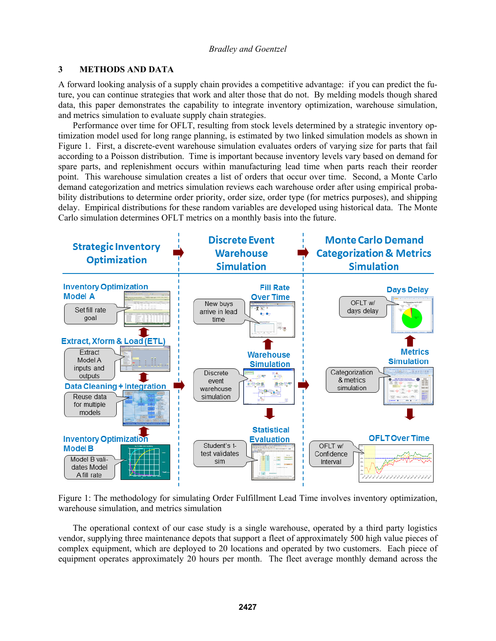## **3 METHODS AND DATA**

A forward looking analysis of a supply chain provides a competitive advantage: if you can predict the future, you can continue strategies that work and alter those that do not. By melding models though shared data, this paper demonstrates the capability to integrate inventory optimization, warehouse simulation, and metrics simulation to evaluate supply chain strategies.

 Performance over time for OFLT, resulting from stock levels determined by a strategic inventory optimization model used for long range planning, is estimated by two linked simulation models as shown in Figure 1. First, a discrete-event warehouse simulation evaluates orders of varying size for parts that fail according to a Poisson distribution. Time is important because inventory levels vary based on demand for spare parts, and replenishment occurs within manufacturing lead time when parts reach their reorder point. This warehouse simulation creates a list of orders that occur over time. Second, a Monte Carlo demand categorization and metrics simulation reviews each warehouse order after using empirical probability distributions to determine order priority, order size, order type (for metrics purposes), and shipping delay. Empirical distributions for these random variables are developed using historical data. The Monte Carlo simulation determines OFLT metrics on a monthly basis into the future.



Figure 1: The methodology for simulating Order Fulfillment Lead Time involves inventory optimization, warehouse simulation, and metrics simulation

 The operational context of our case study is a single warehouse, operated by a third party logistics vendor, supplying three maintenance depots that support a fleet of approximately 500 high value pieces of complex equipment, which are deployed to 20 locations and operated by two customers. Each piece of equipment operates approximately 20 hours per month. The fleet average monthly demand across the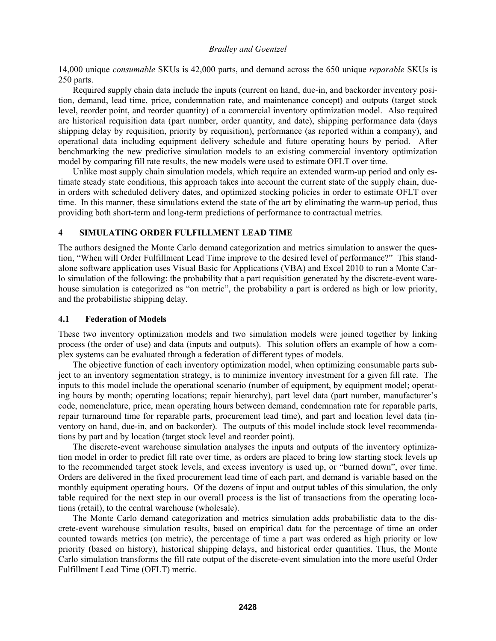14,000 unique *consumable* SKUs is 42,000 parts, and demand across the 650 unique *reparable* SKUs is 250 parts.

 Required supply chain data include the inputs (current on hand, due-in, and backorder inventory position, demand, lead time, price, condemnation rate, and maintenance concept) and outputs (target stock level, reorder point, and reorder quantity) of a commercial inventory optimization model. Also required are historical requisition data (part number, order quantity, and date), shipping performance data (days shipping delay by requisition, priority by requisition), performance (as reported within a company), and operational data including equipment delivery schedule and future operating hours by period. After benchmarking the new predictive simulation models to an existing commercial inventory optimization model by comparing fill rate results, the new models were used to estimate OFLT over time.

 Unlike most supply chain simulation models, which require an extended warm-up period and only estimate steady state conditions, this approach takes into account the current state of the supply chain, duein orders with scheduled delivery dates, and optimized stocking policies in order to estimate OFLT over time. In this manner, these simulations extend the state of the art by eliminating the warm-up period, thus providing both short-term and long-term predictions of performance to contractual metrics.

### **4 SIMULATING ORDER FULFILLMENT LEAD TIME**

The authors designed the Monte Carlo demand categorization and metrics simulation to answer the question, "When will Order Fulfillment Lead Time improve to the desired level of performance?" This standalone software application uses Visual Basic for Applications (VBA) and Excel 2010 to run a Monte Carlo simulation of the following: the probability that a part requisition generated by the discrete-event warehouse simulation is categorized as "on metric", the probability a part is ordered as high or low priority, and the probabilistic shipping delay.

#### **4.1 Federation of Models**

These two inventory optimization models and two simulation models were joined together by linking process (the order of use) and data (inputs and outputs). This solution offers an example of how a complex systems can be evaluated through a federation of different types of models.

 The objective function of each inventory optimization model, when optimizing consumable parts subject to an inventory segmentation strategy, is to minimize inventory investment for a given fill rate. The inputs to this model include the operational scenario (number of equipment, by equipment model; operating hours by month; operating locations; repair hierarchy), part level data (part number, manufacturer's code, nomenclature, price, mean operating hours between demand, condemnation rate for reparable parts, repair turnaround time for reparable parts, procurement lead time), and part and location level data (inventory on hand, due-in, and on backorder). The outputs of this model include stock level recommendations by part and by location (target stock level and reorder point).

 The discrete-event warehouse simulation analyses the inputs and outputs of the inventory optimization model in order to predict fill rate over time, as orders are placed to bring low starting stock levels up to the recommended target stock levels, and excess inventory is used up, or "burned down", over time. Orders are delivered in the fixed procurement lead time of each part, and demand is variable based on the monthly equipment operating hours. Of the dozens of input and output tables of this simulation, the only table required for the next step in our overall process is the list of transactions from the operating locations (retail), to the central warehouse (wholesale).

 The Monte Carlo demand categorization and metrics simulation adds probabilistic data to the discrete-event warehouse simulation results, based on empirical data for the percentage of time an order counted towards metrics (on metric), the percentage of time a part was ordered as high priority or low priority (based on history), historical shipping delays, and historical order quantities. Thus, the Monte Carlo simulation transforms the fill rate output of the discrete-event simulation into the more useful Order Fulfillment Lead Time (OFLT) metric.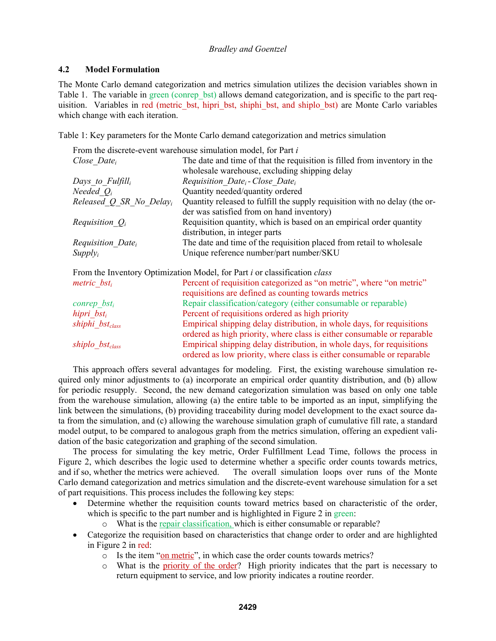## **4.2 Model Formulation**

The Monte Carlo demand categorization and metrics simulation utilizes the decision variables shown in Table 1. The variable in green (conrep\_bst) allows demand categorization, and is specific to the part requisition. Variables in red (metric\_bst, hipri\_bst, shiphi\_bst, and shiplo\_bst) are Monte Carlo variables which change with each iteration.

Table 1: Key parameters for the Monte Carlo demand categorization and metrics simulation

| From the discrete-event warehouse simulation model, for Part i |                                                                            |  |  |  |  |  |  |
|----------------------------------------------------------------|----------------------------------------------------------------------------|--|--|--|--|--|--|
| Close Date <sub>i</sub>                                        | The date and time of that the requisition is filled from inventory in the  |  |  |  |  |  |  |
|                                                                | wholesale warehouse, excluding shipping delay                              |  |  |  |  |  |  |
| Days to $Fulli$                                                | Requisition Date <sub>i</sub> -Close Date <sub>i</sub>                     |  |  |  |  |  |  |
| Needed $Q_i$                                                   | Quantity needed/quantity ordered                                           |  |  |  |  |  |  |
| Released Q SR No Delay <sub>i</sub>                            | Quantity released to fulfill the supply requisition with no delay (the or- |  |  |  |  |  |  |
|                                                                | der was satisfied from on hand inventory)                                  |  |  |  |  |  |  |
| <i>Requisition</i> $O_i$                                       | Requisition quantity, which is based on an empirical order quantity        |  |  |  |  |  |  |
|                                                                | distribution, in integer parts                                             |  |  |  |  |  |  |
| Requisition Date <sub>i</sub>                                  | The date and time of the requisition placed from retail to wholesale       |  |  |  |  |  |  |
| Supply <sub>i</sub>                                            | Unique reference number/part number/SKU                                    |  |  |  |  |  |  |

From the Inventory Optimization Model, for Part *i* or classification *class*

| Percent of requisition categorized as "on metric", where "on metric"<br>requisitions are defined as counting towards metrics                      |
|---------------------------------------------------------------------------------------------------------------------------------------------------|
| Repair classification/category (either consumable or reparable)                                                                                   |
| Percent of requisitions ordered as high priority                                                                                                  |
| Empirical shipping delay distribution, in whole days, for requisitions<br>ordered as high priority, where class is either consumable or reparable |
| Empirical shipping delay distribution, in whole days, for requisitions<br>ordered as low priority, where class is either consumable or reparable  |
|                                                                                                                                                   |

 This approach offers several advantages for modeling. First, the existing warehouse simulation required only minor adjustments to (a) incorporate an empirical order quantity distribution, and (b) allow for periodic resupply. Second, the new demand categorization simulation was based on only one table from the warehouse simulation, allowing (a) the entire table to be imported as an input, simplifying the link between the simulations, (b) providing traceability during model development to the exact source data from the simulation, and (c) allowing the warehouse simulation graph of cumulative fill rate, a standard model output, to be compared to analogous graph from the metrics simulation, offering an expedient validation of the basic categorization and graphing of the second simulation.

 The process for simulating the key metric, Order Fulfillment Lead Time, follows the process in Figure 2, which describes the logic used to determine whether a specific order counts towards metrics, and if so, whether the metrics were achieved. The overall simulation loops over runs of the Monte Carlo demand categorization and metrics simulation and the discrete-event warehouse simulation for a set of part requisitions. This process includes the following key steps:

- Determine whether the requisition counts toward metrics based on characteristic of the order, which is specific to the part number and is highlighted in Figure 2 in green:
	- o What is the repair classification, which is either consumable or reparable?
- Categorize the requisition based on characteristics that change order to order and are highlighted in Figure 2 in red:
	- o Is the item "on metric", in which case the order counts towards metrics?
	- o What is the priority of the order? High priority indicates that the part is necessary to return equipment to service, and low priority indicates a routine reorder.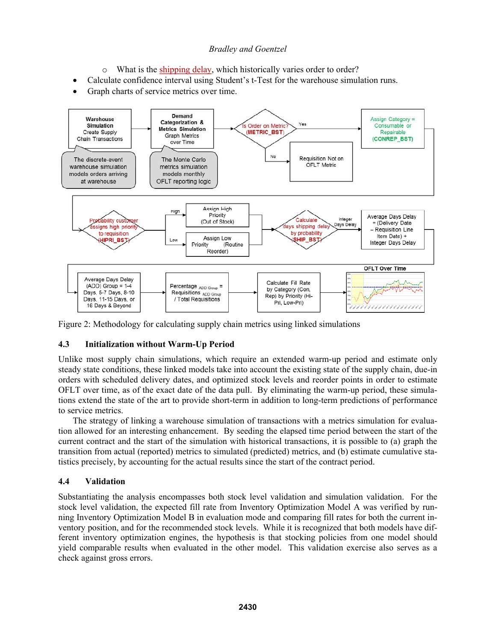- o What is the shipping delay, which historically varies order to order?
- Calculate confidence interval using Student's t-Test for the warehouse simulation runs.
- Graph charts of service metrics over time.



Figure 2: Methodology for calculating supply chain metrics using linked simulations

# **4.3 Initialization without Warm-Up Period**

Unlike most supply chain simulations, which require an extended warm-up period and estimate only steady state conditions, these linked models take into account the existing state of the supply chain, due-in orders with scheduled delivery dates, and optimized stock levels and reorder points in order to estimate OFLT over time, as of the exact date of the data pull. By eliminating the warm-up period, these simulations extend the state of the art to provide short-term in addition to long-term predictions of performance to service metrics.

 The strategy of linking a warehouse simulation of transactions with a metrics simulation for evaluation allowed for an interesting enhancement. By seeding the elapsed time period between the start of the current contract and the start of the simulation with historical transactions, it is possible to (a) graph the transition from actual (reported) metrics to simulated (predicted) metrics, and (b) estimate cumulative statistics precisely, by accounting for the actual results since the start of the contract period.

# **4.4 Validation**

Substantiating the analysis encompasses both stock level validation and simulation validation. For the stock level validation, the expected fill rate from Inventory Optimization Model A was verified by running Inventory Optimization Model B in evaluation mode and comparing fill rates for both the current inventory position, and for the recommended stock levels. While it is recognized that both models have different inventory optimization engines, the hypothesis is that stocking policies from one model should yield comparable results when evaluated in the other model. This validation exercise also serves as a check against gross errors.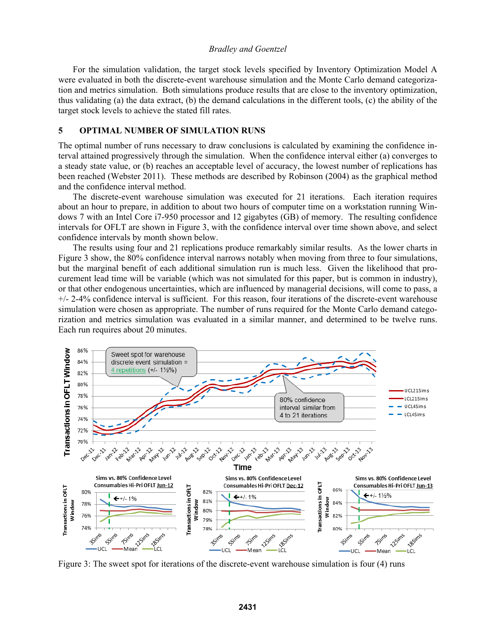For the simulation validation, the target stock levels specified by Inventory Optimization Model A were evaluated in both the discrete-event warehouse simulation and the Monte Carlo demand categorization and metrics simulation. Both simulations produce results that are close to the inventory optimization, thus validating (a) the data extract, (b) the demand calculations in the different tools, (c) the ability of the target stock levels to achieve the stated fill rates.

#### **5 OPTIMAL NUMBER OF SIMULATION RUNS**

The optimal number of runs necessary to draw conclusions is calculated by examining the confidence interval attained progressively through the simulation. When the confidence interval either (a) converges to a steady state value, or (b) reaches an acceptable level of accuracy, the lowest number of replications has been reached (Webster 2011). These methods are described by Robinson (2004) as the graphical method and the confidence interval method.

 The discrete-event warehouse simulation was executed for 21 iterations. Each iteration requires about an hour to prepare, in addition to about two hours of computer time on a workstation running Windows 7 with an Intel Core i7-950 processor and 12 gigabytes (GB) of memory. The resulting confidence intervals for OFLT are shown in Figure 3, with the confidence interval over time shown above, and select confidence intervals by month shown below.

 The results using four and 21 replications produce remarkably similar results. As the lower charts in Figure 3 show, the 80% confidence interval narrows notably when moving from three to four simulations, but the marginal benefit of each additional simulation run is much less. Given the likelihood that procurement lead time will be variable (which was not simulated for this paper, but is common in industry), or that other endogenous uncertainties, which are influenced by managerial decisions, will come to pass, a +/- 2-4% confidence interval is sufficient. For this reason, four iterations of the discrete-event warehouse simulation were chosen as appropriate. The number of runs required for the Monte Carlo demand categorization and metrics simulation was evaluated in a similar manner, and determined to be twelve runs. Each run requires about 20 minutes.



Figure 3: The sweet spot for iterations of the discrete-event warehouse simulation is four (4) runs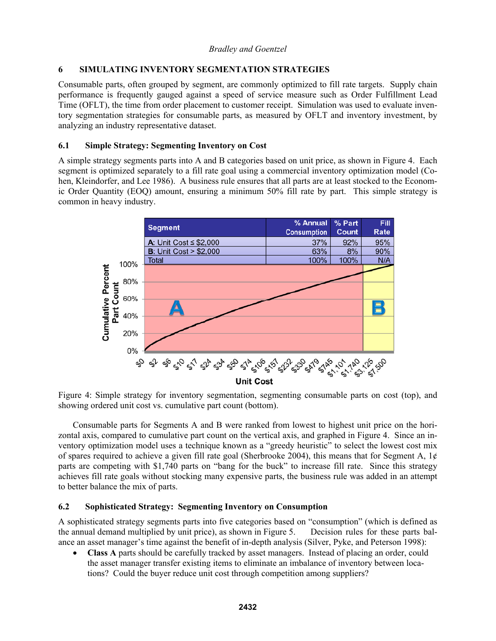# **6 SIMULATING INVENTORY SEGMENTATION STRATEGIES**

Consumable parts, often grouped by segment, are commonly optimized to fill rate targets. Supply chain performance is frequently gauged against a speed of service measure such as Order Fulfillment Lead Time (OFLT), the time from order placement to customer receipt. Simulation was used to evaluate inventory segmentation strategies for consumable parts, as measured by OFLT and inventory investment, by analyzing an industry representative dataset.

# **6.1 Simple Strategy: Segmenting Inventory on Cost**

A simple strategy segments parts into A and B categories based on unit price, as shown in Figure 4. Each segment is optimized separately to a fill rate goal using a commercial inventory optimization model (Cohen, Kleindorfer, and Lee 1986). A business rule ensures that all parts are at least stocked to the Economic Order Quantity (EOQ) amount, ensuring a minimum 50% fill rate by part. This simple strategy is common in heavy industry.



Figure 4: Simple strategy for inventory segmentation, segmenting consumable parts on cost (top), and showing ordered unit cost vs. cumulative part count (bottom).

 Consumable parts for Segments A and B were ranked from lowest to highest unit price on the horizontal axis, compared to cumulative part count on the vertical axis, and graphed in Figure 4. Since an inventory optimization model uses a technique known as a "greedy heuristic" to select the lowest cost mix of spares required to achieve a given fill rate goal (Sherbrooke 2004), this means that for Segment A,  $1¢$ parts are competing with \$1,740 parts on "bang for the buck" to increase fill rate. Since this strategy achieves fill rate goals without stocking many expensive parts, the business rule was added in an attempt to better balance the mix of parts.

## **6.2 Sophisticated Strategy: Segmenting Inventory on Consumption**

A sophisticated strategy segments parts into five categories based on "consumption" (which is defined as the annual demand multiplied by unit price), as shown in Figure 5. Decision rules for these parts balance an asset manager's time against the benefit of in-depth analysis (Silver, Pyke, and Peterson 1998):

 **Class A** parts should be carefully tracked by asset managers. Instead of placing an order, could the asset manager transfer existing items to eliminate an imbalance of inventory between locations? Could the buyer reduce unit cost through competition among suppliers?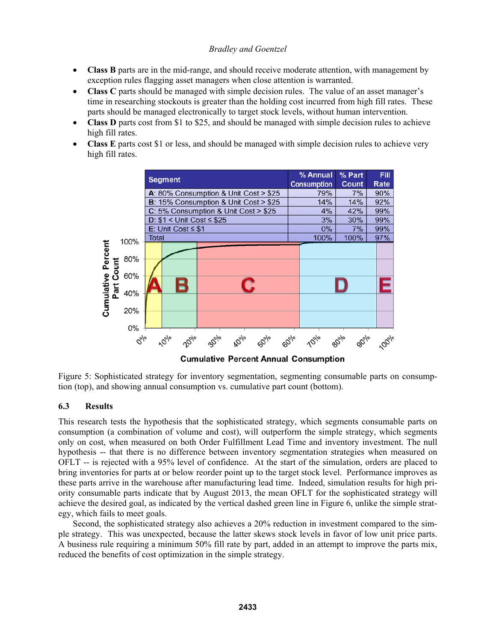- **Class B** parts are in the mid-range, and should receive moderate attention, with management by exception rules flagging asset managers when close attention is warranted.
- **Class C** parts should be managed with simple decision rules. The value of an asset manager's time in researching stockouts is greater than the holding cost incurred from high fill rates. These parts should be managed electronically to target stock levels, without human intervention.
- Class **D** parts cost from \$1 to \$25, and should be managed with simple decision rules to achieve high fill rates.
- **Class E** parts cost \$1 or less, and should be managed with simple decision rules to achieve very high fill rates.

|            | <b>Segment</b>                                |                   |                     |             |                         |                                |   | % Annual                             | % Part<br>Count | <b>Fill</b><br>Rate                                                                                                                                                                           |
|------------|-----------------------------------------------|-------------------|---------------------|-------------|-------------------------|--------------------------------|---|--------------------------------------|-----------------|-----------------------------------------------------------------------------------------------------------------------------------------------------------------------------------------------|
|            | A: 80% Consumption & Unit Cost > \$25         |                   |                     |             |                         |                                |   | 90%<br>79%<br>7%                     |                 |                                                                                                                                                                                               |
|            | <b>B</b> : 15% Consumption & Unit Cost > \$25 |                   |                     |             |                         |                                |   |                                      | 14%             | 92%                                                                                                                                                                                           |
|            |                                               |                   |                     |             |                         |                                |   |                                      | 42%             | 99%                                                                                                                                                                                           |
|            |                                               |                   |                     |             |                         |                                |   |                                      | 30%             | 99%                                                                                                                                                                                           |
|            |                                               |                   |                     |             |                         |                                |   |                                      | 7%              | 99%                                                                                                                                                                                           |
|            |                                               |                   |                     |             |                         |                                |   |                                      |                 | 97%                                                                                                                                                                                           |
| 80%<br>60% |                                               |                   |                     |             |                         |                                |   |                                      |                 |                                                                                                                                                                                               |
| 40%<br>20% |                                               |                   |                     |             |                         |                                |   |                                      |                 |                                                                                                                                                                                               |
| 0%         |                                               |                   | 2010                | 20%         | <b>A</b> <sup>olo</sup> | spolo                          |   | $\delta^{\circ/\circ}$               |                 | <b>Loo</b> le                                                                                                                                                                                 |
|            | 100%                                          | $Q_{\rho/\sigma}$ | <b>Total</b><br>10% | $\mathbf B$ | E: Unit Cost $\leq$ \$1 | D: $$1 <$ Unit Cost $\le$ \$25 | C | C: 5% Consumption & Unit Cost > \$25 | 60%             | <b>Consumption</b><br>14%<br>4%<br>3%<br>0%<br>100%<br>100%<br>$\delta_{\! \! \! \! \! \textrm{o}^{ \! \! \textrm{o}  \! \textrm{o}}}$<br>80%<br><b>Cumulative Percent Annual Consumption</b> |

Figure 5: Sophisticated strategy for inventory segmentation, segmenting consumable parts on consumption (top), and showing annual consumption vs. cumulative part count (bottom).

## **6.3 Results**

This research tests the hypothesis that the sophisticated strategy, which segments consumable parts on consumption (a combination of volume and cost), will outperform the simple strategy, which segments only on cost, when measured on both Order Fulfillment Lead Time and inventory investment. The null hypothesis -- that there is no difference between inventory segmentation strategies when measured on OFLT -- is rejected with a 95% level of confidence. At the start of the simulation, orders are placed to bring inventories for parts at or below reorder point up to the target stock level. Performance improves as these parts arrive in the warehouse after manufacturing lead time. Indeed, simulation results for high priority consumable parts indicate that by August 2013, the mean OFLT for the sophisticated strategy will achieve the desired goal, as indicated by the vertical dashed green line in Figure 6, unlike the simple strategy, which fails to meet goals.

 Second, the sophisticated strategy also achieves a 20% reduction in investment compared to the simple strategy. This was unexpected, because the latter skews stock levels in favor of low unit price parts. A business rule requiring a minimum 50% fill rate by part, added in an attempt to improve the parts mix, reduced the benefits of cost optimization in the simple strategy.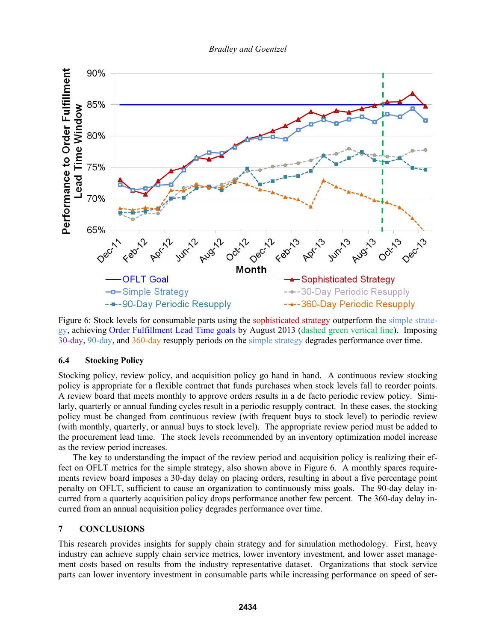

Figure 6: Stock levels for consumable parts using the sophisticated strategy outperform the simple strategy, achieving Order Fulfillment Lead Time goals by August 2013 (dashed green vertical line). Imposing 30-day, 90-day, and 360-day resupply periods on the simple strategy degrades performance over time.

## **6.4 Stocking Policy**

Stocking policy, review policy, and acquisition policy go hand in hand. A continuous review stocking policy is appropriate for a flexible contract that funds purchases when stock levels fall to reorder points. A review board that meets monthly to approve orders results in a de facto periodic review policy. Similarly, quarterly or annual funding cycles result in a periodic resupply contract. In these cases, the stocking policy must be changed from continuous review (with frequent buys to stock level) to periodic review (with monthly, quarterly, or annual buys to stock level). The appropriate review period must be added to the procurement lead time. The stock levels recommended by an inventory optimization model increase as the review period increases.

 The key to understanding the impact of the review period and acquisition policy is realizing their effect on OFLT metrics for the simple strategy, also shown above in Figure 6. A monthly spares requirements review board imposes a 30-day delay on placing orders, resulting in about a five percentage point penalty on OFLT, sufficient to cause an organization to continuously miss goals. The 90-day delay incurred from a quarterly acquisition policy drops performance another few percent. The 360-day delay incurred from an annual acquisition policy degrades performance over time.

## **7 CONCLUSIONS**

This research provides insights for supply chain strategy and for simulation methodology. First, heavy industry can achieve supply chain service metrics, lower inventory investment, and lower asset management costs based on results from the industry representative dataset. Organizations that stock service parts can lower inventory investment in consumable parts while increasing performance on speed of ser-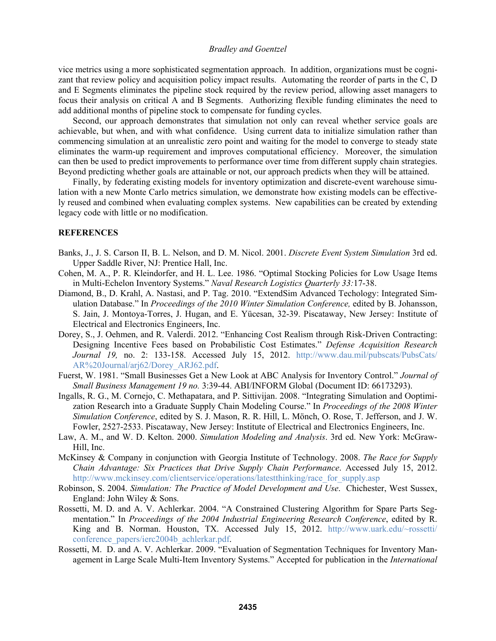vice metrics using a more sophisticated segmentation approach. In addition, organizations must be cognizant that review policy and acquisition policy impact results. Automating the reorder of parts in the C, D and E Segments eliminates the pipeline stock required by the review period, allowing asset managers to focus their analysis on critical A and B Segments. Authorizing flexible funding eliminates the need to add additional months of pipeline stock to compensate for funding cycles.

Second, our approach demonstrates that simulation not only can reveal whether service goals are achievable, but when, and with what confidence. Using current data to initialize simulation rather than commencing simulation at an unrealistic zero point and waiting for the model to converge to steady state eliminates the warm-up requirement and improves computational efficiency. Moreover, the simulation can then be used to predict improvements to performance over time from different supply chain strategies. Beyond predicting whether goals are attainable or not, our approach predicts when they will be attained.

 Finally, by federating existing models for inventory optimization and discrete-event warehouse simulation with a new Monte Carlo metrics simulation, we demonstrate how existing models can be effectively reused and combined when evaluating complex systems. New capabilities can be created by extending legacy code with little or no modification.

## **REFERENCES**

- Banks, J., J. S. Carson II, B. L. Nelson, and D. M. Nicol. 2001. *Discrete Event System Simulation* 3rd ed. Upper Saddle River, NJ: Prentice Hall, Inc.
- Cohen, M. A., P. R. Kleindorfer, and H. L. Lee. 1986. "Optimal Stocking Policies for Low Usage Items in Multi-Echelon Inventory Systems." *Naval Research Logistics Quarterly 33:*17-38.
- Diamond, B., D. Krahl, A. Nastasi, and P. Tag. 2010. "ExtendSim Advanced Techology: Integrated Simulation Database." In *Proceedings of the 2010 Winter Simulation Conference,* edited by B. Johansson, S. Jain, J. Montoya-Torres, J. Hugan, and E. Yücesan, 32-39. Piscataway, New Jersey: Institute of Electrical and Electronics Engineers, Inc.
- Dorey, S., J. Oehmen, and R. Valerdi. 2012. "Enhancing Cost Realism through Risk-Driven Contracting: Designing Incentive Fees based on Probabilistic Cost Estimates." *Defense Acquisition Research Journal 19,* no. 2: 133-158. Accessed July 15, 2012. http://www.dau.mil/pubscats/PubsCats/ AR%20Journal/arj62/Dorey\_ARJ62.pdf.
- Fuerst, W. 1981. "Small Businesses Get a New Look at ABC Analysis for Inventory Control." *Journal of Small Business Management 19 no.* 3:39-44. ABI/INFORM Global (Document ID: 66173293).
- Ingalls, R. G., M. Cornejo, C. Methapatara, and P. Sittivijan. 2008. "Integrating Simulation and Ooptimization Research into a Graduate Supply Chain Modeling Course." In *Proceedings of the 2008 Winter Simulation Conference*, edited by S. J. Mason, R. R. Hill, L. Mönch, O. Rose, T. Jefferson, and J. W. Fowler, 2527-2533. Piscataway, New Jersey: Institute of Electrical and Electronics Engineers, Inc.
- Law, A. M., and W. D. Kelton. 2000. *Simulation Modeling and Analysis*. 3rd ed. New York: McGraw-Hill, Inc.
- McKinsey & Company in conjunction with Georgia Institute of Technology. 2008. *The Race for Supply Chain Advantage: Six Practices that Drive Supply Chain Performance*. Accessed July 15, 2012. http://www.mckinsey.com/clientservice/operations/latestthinking/race\_for\_supply.asp
- Robinson, S. 2004. *Simulation: The Practice of Model Development and Use*. Chichester, West Sussex, England: John Wiley & Sons.
- Rossetti, M. D. and A. V. Achlerkar. 2004. "A Constrained Clustering Algorithm for Spare Parts Segmentation." In *Proceedings of the 2004 Industrial Engineering Research Conference*, edited by R. King and B. Norman. Houston, TX. Accessed July 15, 2012. http://www.uark.edu/~rossetti/ conference\_papers/ierc2004b\_achlerkar.pdf.
- Rossetti, M. D. and A. V. Achlerkar. 2009. "Evaluation of Segmentation Techniques for Inventory Management in Large Scale Multi-Item Inventory Systems." Accepted for publication in the *International*